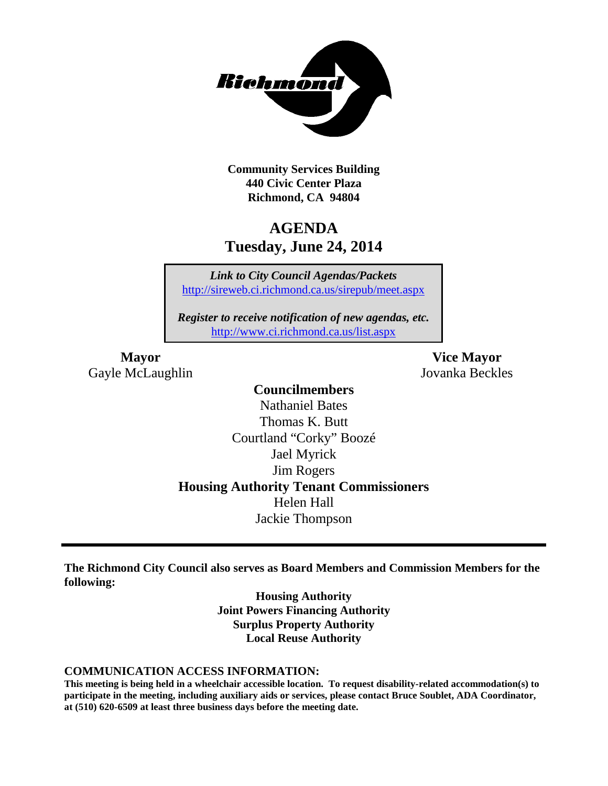

**Community Services Building 440 Civic Center Plaza Richmond, CA 94804**

# **AGENDA Tuesday, June 24, 2014**

*Link to City Council Agendas/Packets* <http://sireweb.ci.richmond.ca.us/sirepub/meet.aspx>

*Register to receive notification of new agendas, etc.* <http://www.ci.richmond.ca.us/list.aspx>

Gayle McLaughlin Jovanka Beckles

**Mayor Vice Mayor**

# **Councilmembers**

Nathaniel Bates Thomas K. Butt Courtland "Corky" Boozé Jael Myrick Jim Rogers **Housing Authority Tenant Commissioners** Helen Hall Jackie Thompson

**The Richmond City Council also serves as Board Members and Commission Members for the following:**

> **Housing Authority Joint Powers Financing Authority Surplus Property Authority Local Reuse Authority**

#### **COMMUNICATION ACCESS INFORMATION:**

**This meeting is being held in a wheelchair accessible location. To request disability-related accommodation(s) to participate in the meeting, including auxiliary aids or services, please contact Bruce Soublet, ADA Coordinator, at (510) 620-6509 at least three business days before the meeting date.**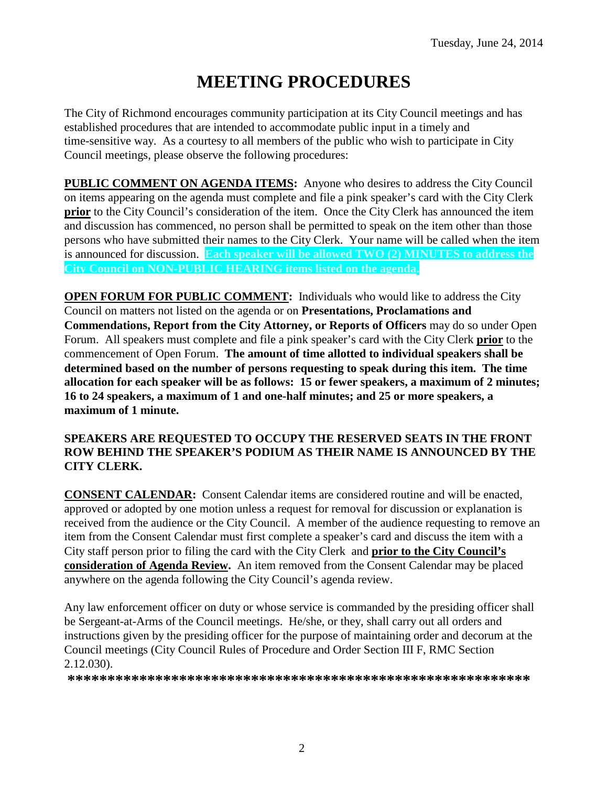# **MEETING PROCEDURES**

The City of Richmond encourages community participation at its City Council meetings and has established procedures that are intended to accommodate public input in a timely and time-sensitive way. As a courtesy to all members of the public who wish to participate in City Council meetings, please observe the following procedures:

**PUBLIC COMMENT ON AGENDA ITEMS:** Anyone who desires to address the City Council on items appearing on the agenda must complete and file a pink speaker's card with the City Clerk **prior** to the City Council's consideration of the item. Once the City Clerk has announced the item and discussion has commenced, no person shall be permitted to speak on the item other than those persons who have submitted their names to the City Clerk. Your name will be called when the item is announced for discussion. **Each speaker will be allowed TWO (2) MINUTES to address the City Council on NON-PUBLIC HEARING items listed on the agenda.**

**OPEN FORUM FOR PUBLIC COMMENT:** Individuals who would like to address the City Council on matters not listed on the agenda or on **Presentations, Proclamations and Commendations, Report from the City Attorney, or Reports of Officers** may do so under Open Forum. All speakers must complete and file a pink speaker's card with the City Clerk **prior** to the commencement of Open Forum. **The amount of time allotted to individual speakers shall be determined based on the number of persons requesting to speak during this item. The time allocation for each speaker will be as follows: 15 or fewer speakers, a maximum of 2 minutes; 16 to 24 speakers, a maximum of 1 and one-half minutes; and 25 or more speakers, a maximum of 1 minute.**

# **SPEAKERS ARE REQUESTED TO OCCUPY THE RESERVED SEATS IN THE FRONT ROW BEHIND THE SPEAKER'S PODIUM AS THEIR NAME IS ANNOUNCED BY THE CITY CLERK.**

**CONSENT CALENDAR:** Consent Calendar items are considered routine and will be enacted, approved or adopted by one motion unless a request for removal for discussion or explanation is received from the audience or the City Council. A member of the audience requesting to remove an item from the Consent Calendar must first complete a speaker's card and discuss the item with a City staff person prior to filing the card with the City Clerk and **prior to the City Council's consideration of Agenda Review.** An item removed from the Consent Calendar may be placed anywhere on the agenda following the City Council's agenda review.

Any law enforcement officer on duty or whose service is commanded by the presiding officer shall be Sergeant-at-Arms of the Council meetings. He/she, or they, shall carry out all orders and instructions given by the presiding officer for the purpose of maintaining order and decorum at the Council meetings (City Council Rules of Procedure and Order Section III F, RMC Section 2.12.030).

**\*\*\*\*\*\*\*\*\*\*\*\*\*\*\*\*\*\*\*\*\*\*\*\*\*\*\*\*\*\*\*\*\*\*\*\*\*\*\*\*\*\*\*\*\*\*\*\*\*\*\*\*\*\*\*\*\*\***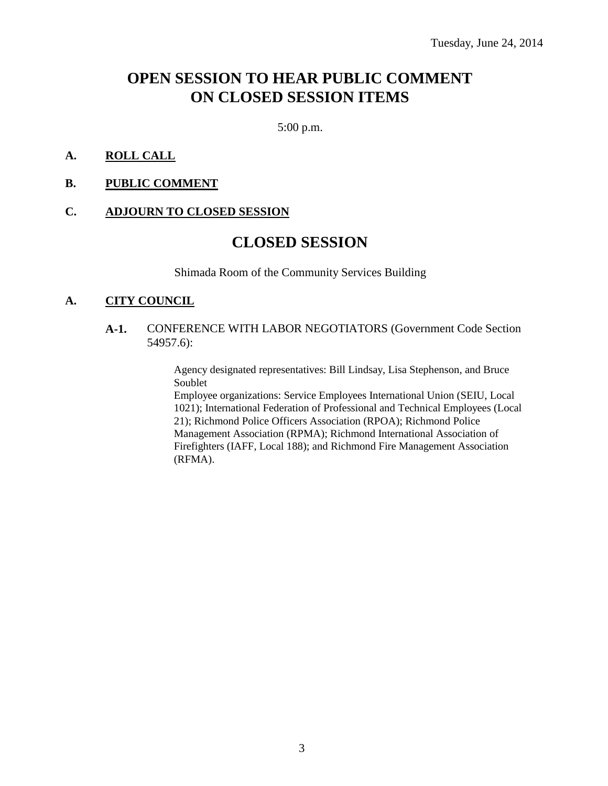# **OPEN SESSION TO HEAR PUBLIC COMMENT ON CLOSED SESSION ITEMS**

5:00 p.m.

#### **A. ROLL CALL**

**B. PUBLIC COMMENT**

#### **C. ADJOURN TO CLOSED SESSION**

# **CLOSED SESSION**

Shimada Room of the Community Services Building

#### **A. CITY COUNCIL**

#### **A-1.** CONFERENCE WITH LABOR NEGOTIATORS (Government Code Section 54957.6):

Agency designated representatives: Bill Lindsay, Lisa Stephenson, and Bruce Soublet

Employee organizations: Service Employees International Union (SEIU, Local 1021); International Federation of Professional and Technical Employees (Local 21); Richmond Police Officers Association (RPOA); Richmond Police Management Association (RPMA); Richmond International Association of Firefighters (IAFF, Local 188); and Richmond Fire Management Association (RFMA).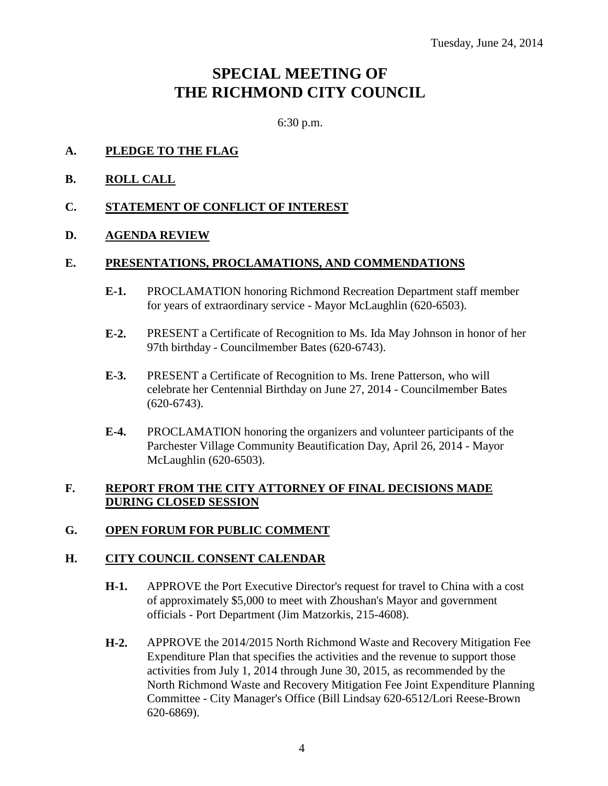# **SPECIAL MEETING OF THE RICHMOND CITY COUNCIL**

6:30 p.m.

- **A. PLEDGE TO THE FLAG**
- **B. ROLL CALL**
- **C. STATEMENT OF CONFLICT OF INTEREST**

# **D. AGENDA REVIEW**

#### **E. PRESENTATIONS, PROCLAMATIONS, AND COMMENDATIONS**

- **E-1.** PROCLAMATION honoring Richmond Recreation Department staff member for years of extraordinary service - Mayor McLaughlin (620-6503).
- **E-2.** PRESENT a Certificate of Recognition to Ms. Ida May Johnson in honor of her 97th birthday - Councilmember Bates (620-6743).
- **E-3.** PRESENT a Certificate of Recognition to Ms. Irene Patterson, who will celebrate her Centennial Birthday on June 27, 2014 - Councilmember Bates (620-6743).
- **E-4.** PROCLAMATION honoring the organizers and volunteer participants of the Parchester Village Community Beautification Day, April 26, 2014 - Mayor McLaughlin (620-6503).

# **F. REPORT FROM THE CITY ATTORNEY OF FINAL DECISIONS MADE DURING CLOSED SESSION**

# **G. OPEN FORUM FOR PUBLIC COMMENT**

# **H. CITY COUNCIL CONSENT CALENDAR**

- **H-1.** APPROVE the Port Executive Director's request for travel to China with a cost of approximately \$5,000 to meet with Zhoushan's Mayor and government officials - Port Department (Jim Matzorkis, 215-4608).
- **H-2.** APPROVE the 2014/2015 North Richmond Waste and Recovery Mitigation Fee Expenditure Plan that specifies the activities and the revenue to support those activities from July 1, 2014 through June 30, 2015, as recommended by the North Richmond Waste and Recovery Mitigation Fee Joint Expenditure Planning Committee - City Manager's Office (Bill Lindsay 620-6512/Lori Reese-Brown 620-6869).